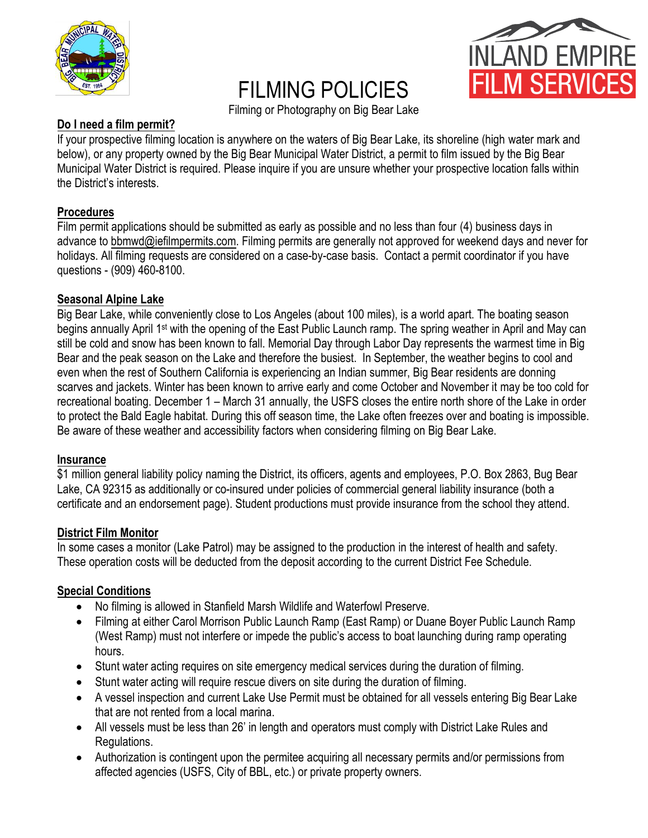

# FILMING POLICIES



Filming or Photography on Big Bear Lake

# **Do I need a film permit?**

If your prospective filming location is anywhere on the waters of Big Bear Lake, its shoreline (high water mark and below), or any property owned by the Big Bear Municipal Water District, a permit to film issued by the Big Bear Municipal Water District is required. Please inquire if you are unsure whether your prospective location falls within the District's interests.

# **Procedures**

Film permit applications should be submitted as early as possible and no less than four (4) business days in advance to bbmwd@iefilmpermits.com. Filming permits are generally not approved for weekend days and never for holidays. All filming requests are considered on a case-by-case basis. Contact a permit coordinator if you have questions - (909) 460-8100.

# **Seasonal Alpine Lake**

Big Bear Lake, while conveniently close to Los Angeles (about 100 miles), is a world apart. The boating season begins annually April 1st with the opening of the East Public Launch ramp. The spring weather in April and May can still be cold and snow has been known to fall. Memorial Day through Labor Day represents the warmest time in Big Bear and the peak season on the Lake and therefore the busiest. In September, the weather begins to cool and even when the rest of Southern California is experiencing an Indian summer, Big Bear residents are donning scarves and jackets. Winter has been known to arrive early and come October and November it may be too cold for recreational boating. December 1 – March 31 annually, the USFS closes the entire north shore of the Lake in order to protect the Bald Eagle habitat. During this off season time, the Lake often freezes over and boating is impossible. Be aware of these weather and accessibility factors when considering filming on Big Bear Lake.

### **Insurance**

\$1 million general liability policy naming the District, its officers, agents and employees, P.O. Box 2863, Bug Bear Lake, CA 92315 as additionally or co-insured under policies of commercial general liability insurance (both a certificate and an endorsement page). Student productions must provide insurance from the school they attend.

### **District Film Monitor**

In some cases a monitor (Lake Patrol) may be assigned to the production in the interest of health and safety. These operation costs will be deducted from the deposit according to the current District Fee Schedule.

### **Special Conditions**

- No filming is allowed in Stanfield Marsh Wildlife and Waterfowl Preserve.
- Filming at either Carol Morrison Public Launch Ramp (East Ramp) or Duane Boyer Public Launch Ramp (West Ramp) must not interfere or impede the public's access to boat launching during ramp operating hours.
- Stunt water acting requires on site emergency medical services during the duration of filming.
- Stunt water acting will require rescue divers on site during the duration of filming.
- A vessel inspection and current Lake Use Permit must be obtained for all vessels entering Big Bear Lake that are not rented from a local marina.
- All vessels must be less than 26' in length and operators must comply with District Lake Rules and Regulations.
- Authorization is contingent upon the permitee acquiring all necessary permits and/or permissions from affected agencies (USFS, City of BBL, etc.) or private property owners.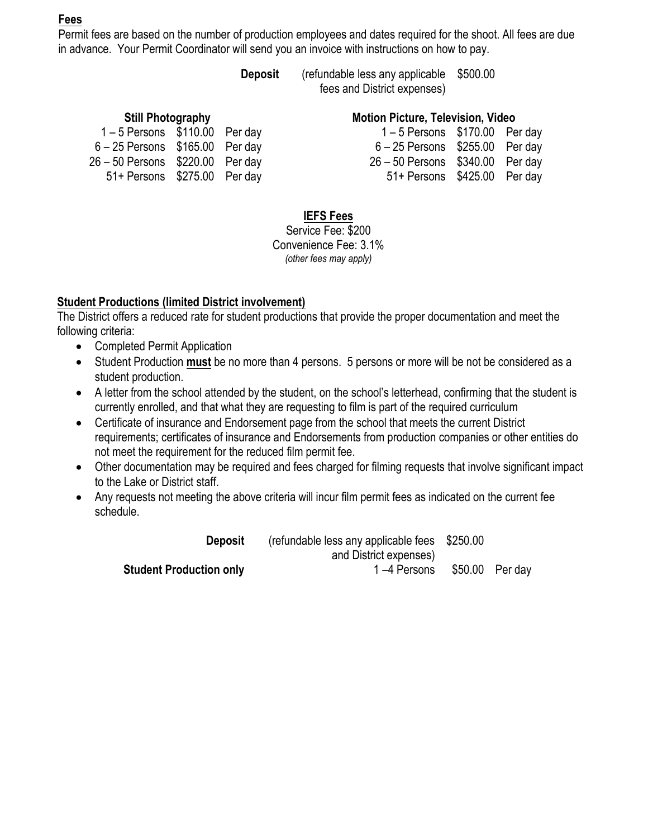# **Fees**

Permit fees are based on the number of production employees and dates required for the shoot. All fees are due in advance. Your Permit Coordinator will send you an invoice with instructions on how to pay.

> **Deposit** (refundable less any applicable \$500.00 fees and District expenses)

| <b>Still Photography</b>           |  |  |                                    | <b>Motion Picture, Television, Video</b> |  |  |  |
|------------------------------------|--|--|------------------------------------|------------------------------------------|--|--|--|
| $1-5$ Persons $$110.00$ Per day    |  |  | $1-5$ Persons $$170.00$ Per day    |                                          |  |  |  |
| $6 - 25$ Persons $$165.00$ Per day |  |  | $6 - 25$ Persons $$255.00$ Per day |                                          |  |  |  |
| 26 - 50 Persons \$220.00 Per day   |  |  | 26 - 50 Persons \$340.00 Per day   |                                          |  |  |  |
| 51+ Persons \$275.00 Per day       |  |  | 51+ Persons \$425.00 Per day       |                                          |  |  |  |

### **Motion Picture, Television, Video**

|          | Per day  |
|----------|----------|
| \$255.00 | Per day  |
| \$340.00 | Per day  |
| \$425.00 | Per day  |
|          | \$170.00 |

### **IEFS Fees**

Service Fee: \$200 Convenience Fee: 3.1% *(other fees may apply)*

# **Student Productions (limited District involvement)**

The District offers a reduced rate for student productions that provide the proper documentation and meet the following criteria:

- Completed Permit Application
- Student Production **must** be no more than 4 persons. 5 persons or more will be not be considered as a student production.
- A letter from the school attended by the student, on the school's letterhead, confirming that the student is currently enrolled, and that what they are requesting to film is part of the required curriculum
- Certificate of insurance and Endorsement page from the school that meets the current District requirements; certificates of insurance and Endorsements from production companies or other entities do not meet the requirement for the reduced film permit fee.
- Other documentation may be required and fees charged for filming requests that involve significant impact to the Lake or District staff.
- Any requests not meeting the above criteria will incur film permit fees as indicated on the current fee schedule.

**Deposit** (refundable less any applicable fees and District expenses) \$250.00 **Student Production only** 1 –4 Persons \$50.00 Per day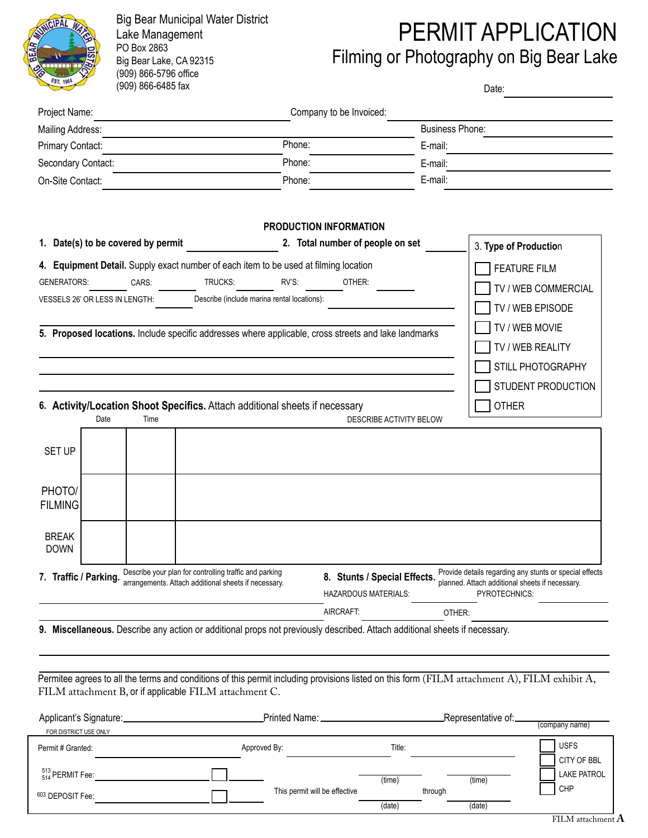

Big Bear Municipal Water District Lake Management PO Box 2863 Big Bear Lake, CA 92315 (909) 866-5796 office (909) 866-6485 fax

# PERMIT APPLICATION

Filming or Photography on Big Bear Lake

Date:

| Project Name:                                                                                                                                                                                                                                                                                                                                                                                      |                                                                                                                |                                                                                                 |                                                                                                                                                                                          |
|----------------------------------------------------------------------------------------------------------------------------------------------------------------------------------------------------------------------------------------------------------------------------------------------------------------------------------------------------------------------------------------------------|----------------------------------------------------------------------------------------------------------------|-------------------------------------------------------------------------------------------------|------------------------------------------------------------------------------------------------------------------------------------------------------------------------------------------|
|                                                                                                                                                                                                                                                                                                                                                                                                    |                                                                                                                | Company to be Invoiced:                                                                         |                                                                                                                                                                                          |
| Mailing Address:                                                                                                                                                                                                                                                                                                                                                                                   |                                                                                                                |                                                                                                 | <b>Business Phone:</b>                                                                                                                                                                   |
| Primary Contact:                                                                                                                                                                                                                                                                                                                                                                                   | Phone:                                                                                                         |                                                                                                 | E-mail:                                                                                                                                                                                  |
| Secondary Contact:                                                                                                                                                                                                                                                                                                                                                                                 | Phone:                                                                                                         |                                                                                                 | E-mail:                                                                                                                                                                                  |
| On-Site Contact:                                                                                                                                                                                                                                                                                                                                                                                   | Phone:                                                                                                         |                                                                                                 | E-mail:                                                                                                                                                                                  |
| 1. Date(s) to be covered by permit<br>4. Equipment Detail. Supply exact number of each item to be used at filming location<br><b>GENERATORS:</b><br>CARS:<br>VESSELS 26' OR LESS IN LENGTH:<br>5. Proposed locations. Include specific addresses where applicable, cross streets and lake landmarks<br>6. Activity/Location Shoot Specifics. Attach additional sheets if necessary<br>Time<br>Date | TRUCKS:<br>RV'S:<br>Describe (include marina rental locations):                                                | PRODUCTION INFORMATION<br>2. Total number of people on set<br>OTHER:<br>DESCRIBE ACTIVITY BELOW | 3. Type of Production<br><b>FEATURE FILM</b><br>TV / WEB COMMERCIAL<br>TV / WEB EPISODE<br>TV / WEB MOVIE<br>TV / WEB REALITY<br>STILL PHOTOGRAPHY<br>STUDENT PRODUCTION<br><b>OTHER</b> |
|                                                                                                                                                                                                                                                                                                                                                                                                    |                                                                                                                |                                                                                                 |                                                                                                                                                                                          |
| <b>SET UP</b><br>PHOTO/<br><b>FILMING</b><br><b>BREAK</b>                                                                                                                                                                                                                                                                                                                                          |                                                                                                                |                                                                                                 |                                                                                                                                                                                          |
| <b>DOWN</b>                                                                                                                                                                                                                                                                                                                                                                                        | Describe your plan for controlling traffic and parking<br>arrangements. Attach additional sheets if necessary. | 8. Stunts / Special Effects.<br>HAZARDOUS MATERIALS:                                            | Provide details regarding any stunts or special effects<br>planned. Attach additional sheets if necessary.<br>PYROTECHNICS:                                                              |
| 7. Traffic / Parking.                                                                                                                                                                                                                                                                                                                                                                              |                                                                                                                | AIRCRAFT:                                                                                       | OTHER:                                                                                                                                                                                   |
| 9. Miscellaneous. Describe any action or additional props not previously described. Attach additional sheets if necessary.<br>FILM attachment B, or if applicable FILM attachment C.                                                                                                                                                                                                               |                                                                                                                |                                                                                                 | Permitee agrees to all the terms and conditions of this permit including provisions listed on this form (FILM attachment A), FILM exhibit A,                                             |
| FOR DISTRICT USE ONLY                                                                                                                                                                                                                                                                                                                                                                              |                                                                                                                |                                                                                                 | Representative of:.<br>(company name)                                                                                                                                                    |

| $r$ cilliit $r$ or allicu.  | <b>Apployed Dy.</b>           | 1100.   |        | ___                                         |
|-----------------------------|-------------------------------|---------|--------|---------------------------------------------|
|                             |                               |         |        | CITY OF BBL                                 |
| $^{513}_{514}$ PERMIT Fee:  |                               | (time)  | (time) | <b>LAKE PATROL</b>                          |
| <sup>603</sup> DEPOSIT Fee: | This permit will be effective | through |        | <b>CHP</b>                                  |
|                             |                               | (date)  | (date) |                                             |
|                             |                               |         |        | process and provide the control of the con- |